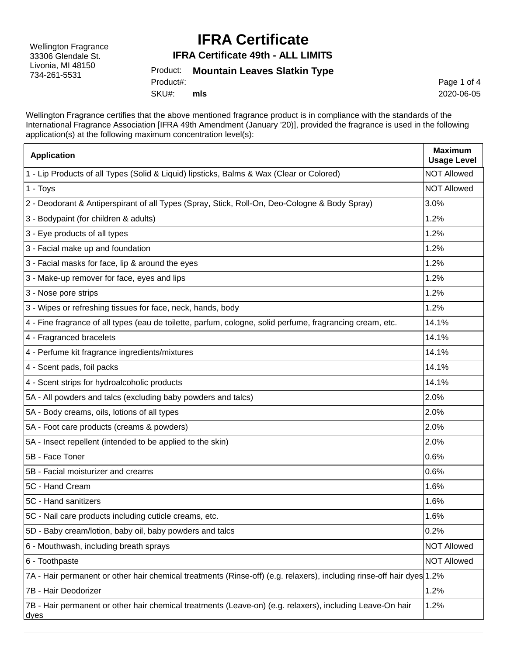Wellington Fragrance 33306 Glendale St. Livonia, MI 48150 734-261-5531

## **IFRA Certificate**

**IFRA Certificate 49th - ALL LIMITS**

Product: **Mountain Leaves Slatkin Type** SKU#: Product#: **mls**

Page 1 of 4 2020-06-05

Wellington Fragrance certifies that the above mentioned fragrance product is in compliance with the standards of the International Fragrance Association [IFRA 49th Amendment (January '20)], provided the fragrance is used in the following application(s) at the following maximum concentration level(s):

| <b>Application</b>                                                                                                    | <b>Maximum</b><br><b>Usage Level</b> |
|-----------------------------------------------------------------------------------------------------------------------|--------------------------------------|
| 1 - Lip Products of all Types (Solid & Liquid) lipsticks, Balms & Wax (Clear or Colored)                              | <b>NOT Allowed</b>                   |
| 1 - Toys                                                                                                              | <b>NOT Allowed</b>                   |
| 2 - Deodorant & Antiperspirant of all Types (Spray, Stick, Roll-On, Deo-Cologne & Body Spray)                         | 3.0%                                 |
| 3 - Bodypaint (for children & adults)                                                                                 | 1.2%                                 |
| 3 - Eye products of all types                                                                                         | 1.2%                                 |
| 3 - Facial make up and foundation                                                                                     | 1.2%                                 |
| 3 - Facial masks for face, lip & around the eyes                                                                      | 1.2%                                 |
| 3 - Make-up remover for face, eyes and lips                                                                           | 1.2%                                 |
| 3 - Nose pore strips                                                                                                  | 1.2%                                 |
| 3 - Wipes or refreshing tissues for face, neck, hands, body                                                           | 1.2%                                 |
| 4 - Fine fragrance of all types (eau de toilette, parfum, cologne, solid perfume, fragrancing cream, etc.             | 14.1%                                |
| 4 - Fragranced bracelets                                                                                              | 14.1%                                |
| 4 - Perfume kit fragrance ingredients/mixtures                                                                        | 14.1%                                |
| 4 - Scent pads, foil packs                                                                                            | 14.1%                                |
| 4 - Scent strips for hydroalcoholic products                                                                          | 14.1%                                |
| 5A - All powders and talcs (excluding baby powders and talcs)                                                         | 2.0%                                 |
| 5A - Body creams, oils, lotions of all types                                                                          | 2.0%                                 |
| 5A - Foot care products (creams & powders)                                                                            | 2.0%                                 |
| 5A - Insect repellent (intended to be applied to the skin)                                                            | 2.0%                                 |
| 5B - Face Toner                                                                                                       | 0.6%                                 |
| 5B - Facial moisturizer and creams                                                                                    | 0.6%                                 |
| 5C - Hand Cream                                                                                                       | 1.6%                                 |
| 5C - Hand sanitizers                                                                                                  | 1.6%                                 |
| 5C - Nail care products including cuticle creams, etc.                                                                | 1.6%                                 |
| 5D - Baby cream/lotion, baby oil, baby powders and talcs                                                              | 0.2%                                 |
| 6 - Mouthwash, including breath sprays                                                                                | <b>NOT Allowed</b>                   |
| 6 - Toothpaste                                                                                                        | <b>NOT Allowed</b>                   |
| 7A - Hair permanent or other hair chemical treatments (Rinse-off) (e.g. relaxers), including rinse-off hair dyes 1.2% |                                      |
| 7B - Hair Deodorizer                                                                                                  | 1.2%                                 |
| 7B - Hair permanent or other hair chemical treatments (Leave-on) (e.g. relaxers), including Leave-On hair<br>dyes     | 1.2%                                 |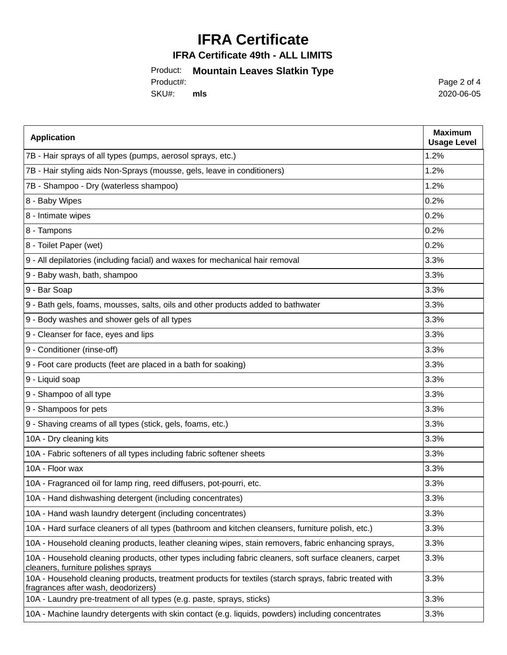# **IFRA Certificate**

#### **IFRA Certificate 49th - ALL LIMITS**

### Product: **Mountain Leaves Slatkin Type**

SKU#: Product#: **mls** Page 2 of 4 2020-06-05

| <b>Application</b>                                                                                                                             | <b>Maximum</b><br><b>Usage Level</b> |
|------------------------------------------------------------------------------------------------------------------------------------------------|--------------------------------------|
| 7B - Hair sprays of all types (pumps, aerosol sprays, etc.)                                                                                    | 1.2%                                 |
| 7B - Hair styling aids Non-Sprays (mousse, gels, leave in conditioners)                                                                        | 1.2%                                 |
| 7B - Shampoo - Dry (waterless shampoo)                                                                                                         | 1.2%                                 |
| 8 - Baby Wipes                                                                                                                                 | 0.2%                                 |
| 8 - Intimate wipes                                                                                                                             | 0.2%                                 |
| 8 - Tampons                                                                                                                                    | 0.2%                                 |
| 8 - Toilet Paper (wet)                                                                                                                         | 0.2%                                 |
| 9 - All depilatories (including facial) and waxes for mechanical hair removal                                                                  | 3.3%                                 |
| 9 - Baby wash, bath, shampoo                                                                                                                   | 3.3%                                 |
| 9 - Bar Soap                                                                                                                                   | 3.3%                                 |
| 9 - Bath gels, foams, mousses, salts, oils and other products added to bathwater                                                               | 3.3%                                 |
| 9 - Body washes and shower gels of all types                                                                                                   | 3.3%                                 |
| 9 - Cleanser for face, eyes and lips                                                                                                           | 3.3%                                 |
| 9 - Conditioner (rinse-off)                                                                                                                    | 3.3%                                 |
| 9 - Foot care products (feet are placed in a bath for soaking)                                                                                 | 3.3%                                 |
| 9 - Liquid soap                                                                                                                                | 3.3%                                 |
| 9 - Shampoo of all type                                                                                                                        | 3.3%                                 |
| 9 - Shampoos for pets                                                                                                                          | 3.3%                                 |
| 9 - Shaving creams of all types (stick, gels, foams, etc.)                                                                                     | 3.3%                                 |
| 10A - Dry cleaning kits                                                                                                                        | 3.3%                                 |
| 10A - Fabric softeners of all types including fabric softener sheets                                                                           | 3.3%                                 |
| 10A - Floor wax                                                                                                                                | 3.3%                                 |
| 10A - Fragranced oil for lamp ring, reed diffusers, pot-pourri, etc.                                                                           | 3.3%                                 |
| 10A - Hand dishwashing detergent (including concentrates)                                                                                      | 3.3%                                 |
| 10A - Hand wash laundry detergent (including concentrates)                                                                                     | 3.3%                                 |
| 10A - Hard surface cleaners of all types (bathroom and kitchen cleansers, furniture polish, etc.)                                              | 3.3%                                 |
| 10A - Household cleaning products, leather cleaning wipes, stain removers, fabric enhancing sprays,                                            | 3.3%                                 |
| 10A - Household cleaning products, other types including fabric cleaners, soft surface cleaners, carpet<br>cleaners, furniture polishes sprays | 3.3%                                 |
| 10A - Household cleaning products, treatment products for textiles (starch sprays, fabric treated with<br>fragrances after wash, deodorizers)  | 3.3%                                 |
| 10A - Laundry pre-treatment of all types (e.g. paste, sprays, sticks)                                                                          | 3.3%                                 |
| 10A - Machine laundry detergents with skin contact (e.g. liquids, powders) including concentrates                                              | 3.3%                                 |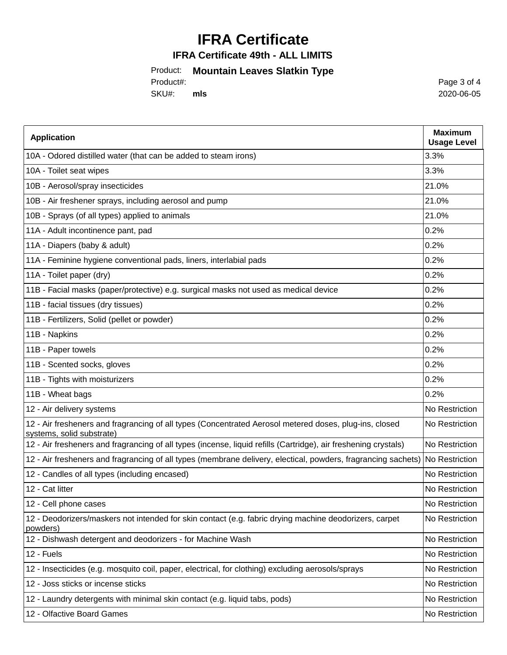# **IFRA Certificate**

#### **IFRA Certificate 49th - ALL LIMITS**

### Product: **Mountain Leaves Slatkin Type**

SKU#: Product#: **mls** Page 3 of 4 2020-06-05

| <b>Application</b>                                                                                                                  | <b>Maximum</b><br><b>Usage Level</b> |
|-------------------------------------------------------------------------------------------------------------------------------------|--------------------------------------|
| 10A - Odored distilled water (that can be added to steam irons)                                                                     | 3.3%                                 |
| 10A - Toilet seat wipes                                                                                                             | 3.3%                                 |
| 10B - Aerosol/spray insecticides                                                                                                    | 21.0%                                |
| 10B - Air freshener sprays, including aerosol and pump                                                                              | 21.0%                                |
| 10B - Sprays (of all types) applied to animals                                                                                      | 21.0%                                |
| 11A - Adult incontinence pant, pad                                                                                                  | 0.2%                                 |
| 11A - Diapers (baby & adult)                                                                                                        | 0.2%                                 |
| 11A - Feminine hygiene conventional pads, liners, interlabial pads                                                                  | 0.2%                                 |
| 11A - Toilet paper (dry)                                                                                                            | 0.2%                                 |
| 11B - Facial masks (paper/protective) e.g. surgical masks not used as medical device                                                | 0.2%                                 |
| 11B - facial tissues (dry tissues)                                                                                                  | 0.2%                                 |
| 11B - Fertilizers, Solid (pellet or powder)                                                                                         | 0.2%                                 |
| 11B - Napkins                                                                                                                       | 0.2%                                 |
| 11B - Paper towels                                                                                                                  | 0.2%                                 |
| 11B - Scented socks, gloves                                                                                                         | 0.2%                                 |
| 11B - Tights with moisturizers                                                                                                      | 0.2%                                 |
| 11B - Wheat bags                                                                                                                    | 0.2%                                 |
| 12 - Air delivery systems                                                                                                           | No Restriction                       |
| 12 - Air fresheners and fragrancing of all types (Concentrated Aerosol metered doses, plug-ins, closed<br>systems, solid substrate) | No Restriction                       |
| 12 - Air fresheners and fragrancing of all types (incense, liquid refills (Cartridge), air freshening crystals)                     | No Restriction                       |
| 12 - Air fresheners and fragrancing of all types (membrane delivery, electical, powders, fragrancing sachets)                       | No Restriction                       |
| 12 - Candles of all types (including encased)                                                                                       | No Restriction                       |
| 12 - Cat litter                                                                                                                     | No Restriction                       |
| 12 - Cell phone cases                                                                                                               | No Restriction                       |
| 12 - Deodorizers/maskers not intended for skin contact (e.g. fabric drying machine deodorizers, carpet<br>powders)                  | No Restriction                       |
| 12 - Dishwash detergent and deodorizers - for Machine Wash                                                                          | No Restriction                       |
| 12 - Fuels                                                                                                                          | No Restriction                       |
| 12 - Insecticides (e.g. mosquito coil, paper, electrical, for clothing) excluding aerosols/sprays                                   | No Restriction                       |
| 12 - Joss sticks or incense sticks                                                                                                  | No Restriction                       |
| 12 - Laundry detergents with minimal skin contact (e.g. liquid tabs, pods)                                                          | No Restriction                       |
| 12 - Olfactive Board Games                                                                                                          | No Restriction                       |